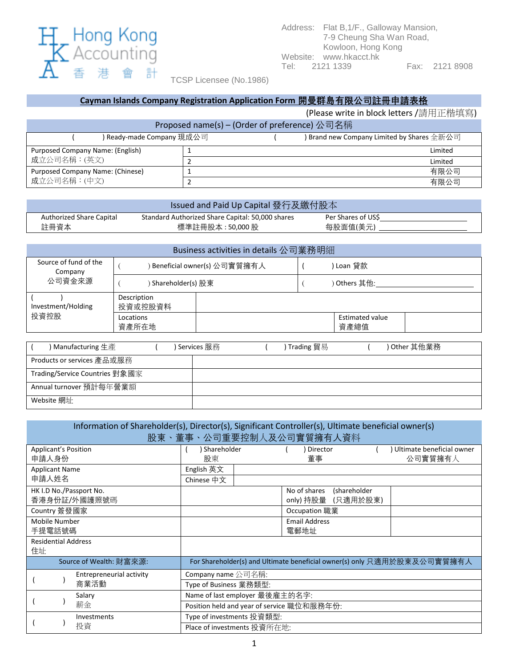

TCSP Licensee (No.1986)

## **Cayman Islands Company Registration Application Form 開曼群島有限公司註冊申請表格**

(Please write in block letters /請用正楷填寫)

| Proposed name(s) – (Order of preference) 公司名稱                           |  |  |         |  |  |  |
|-------------------------------------------------------------------------|--|--|---------|--|--|--|
| ) Ready-made Company 現成公司<br>) Brand new Company Limited by Shares 全新公司 |  |  |         |  |  |  |
| Purposed Company Name: (English)                                        |  |  | Limited |  |  |  |
| 成立公司名稱: (英文)                                                            |  |  | Limited |  |  |  |
| Purposed Company Name: (Chinese)                                        |  |  | 有限公司    |  |  |  |
| 成立公司名稱: (中文)                                                            |  |  | 有限公司    |  |  |  |

| Issued and Paid Up Capital 發行及繳付股本 |                                                  |                    |  |  |  |  |
|------------------------------------|--------------------------------------------------|--------------------|--|--|--|--|
| Authorized Share Capital           | Standard Authorized Share Capital: 50,000 shares | Per Shares of US\$ |  |  |  |  |
| 註冊資本                               | 標準註冊股本 : 50,000 股                                | 每股面值(美元)           |  |  |  |  |

| Business activities in details 公司業務明細                    |                             |  |  |                                |  |  |  |
|----------------------------------------------------------|-----------------------------|--|--|--------------------------------|--|--|--|
| Source of fund of the<br>Company                         | Beneficial owner(s) 公司實質擁有人 |  |  | Loan 貸款                        |  |  |  |
| 公司資金來源                                                   | ) Shareholder(s) 股東         |  |  | ) Others 其他:                   |  |  |  |
| Investment/Holding                                       | Description<br>投資或控股資料      |  |  |                                |  |  |  |
| 投資控股                                                     | Locations<br>資產所在地          |  |  | <b>Estimated value</b><br>資產總值 |  |  |  |
|                                                          |                             |  |  |                                |  |  |  |
| \ ⌒+ム ⌒~ 廿 仏 ₩ ¾<br>Comicos HP3/7<br>▝Τ∝≘ℴℴ];∾~ ᅞᢧ⊟<br>M |                             |  |  |                                |  |  |  |

| ) Manufacturing 生產             | Services 服務 | Trading 貿易 | ) Other 其他業務 |
|--------------------------------|-------------|------------|--------------|
| Products or services 產品或服務     |             |            |              |
| Trading/Service Countries 對象國家 |             |            |              |
| Annual turnover 預計每年營業額        |             |            |              |
| Website 網址                     |             |            |              |

| Information of Shareholder(s), Director(s), Significant Controller(s), Ultimate beneficial owner(s)<br>股東、董事、公司重要控制人及公司實質擁有人資料 |                                                                         |                                                    |  |                                      |  |  |
|--------------------------------------------------------------------------------------------------------------------------------|-------------------------------------------------------------------------|----------------------------------------------------|--|--------------------------------------|--|--|
| <b>Applicant's Position</b><br>申請人身份                                                                                           | Shareholder<br>股東                                                       | Director<br>董事                                     |  | Ultimate beneficial owner<br>公司實質擁有人 |  |  |
| <b>Applicant Name</b>                                                                                                          | English 英文                                                              |                                                    |  |                                      |  |  |
| 申請人姓名                                                                                                                          | Chinese 中文                                                              |                                                    |  |                                      |  |  |
| HK I.D No./Passport No.<br>香港身份証/外國護照號碼                                                                                        |                                                                         | No of shares<br>(shareholder<br>only) 持股量 (只適用於股東) |  |                                      |  |  |
| Country 簽發國家                                                                                                                   | Occupation 職業                                                           |                                                    |  |                                      |  |  |
| Mobile Number<br>手提電話號碼                                                                                                        |                                                                         | <b>Email Address</b><br>電郵地址                       |  |                                      |  |  |
| <b>Residential Address</b><br>住址                                                                                               |                                                                         |                                                    |  |                                      |  |  |
| Source of Wealth: 財富來源:                                                                                                        | For Shareholder(s) and Ultimate beneficial owner(s) only 只適用於股東及公司實質擁有人 |                                                    |  |                                      |  |  |
| Entrepreneurial activity                                                                                                       | Company name 公司名稱:                                                      |                                                    |  |                                      |  |  |
| 商業活動                                                                                                                           | Type of Business 業務類型:                                                  |                                                    |  |                                      |  |  |
| Salary                                                                                                                         | Name of last employer 最後雇主的名字:                                          |                                                    |  |                                      |  |  |
| 薪金                                                                                                                             | Position held and year of service 職位和服務年份:                              |                                                    |  |                                      |  |  |
| Investments                                                                                                                    | Type of investments 投資類型:                                               |                                                    |  |                                      |  |  |
| 投資                                                                                                                             | Place of investments 投資所在地:                                             |                                                    |  |                                      |  |  |